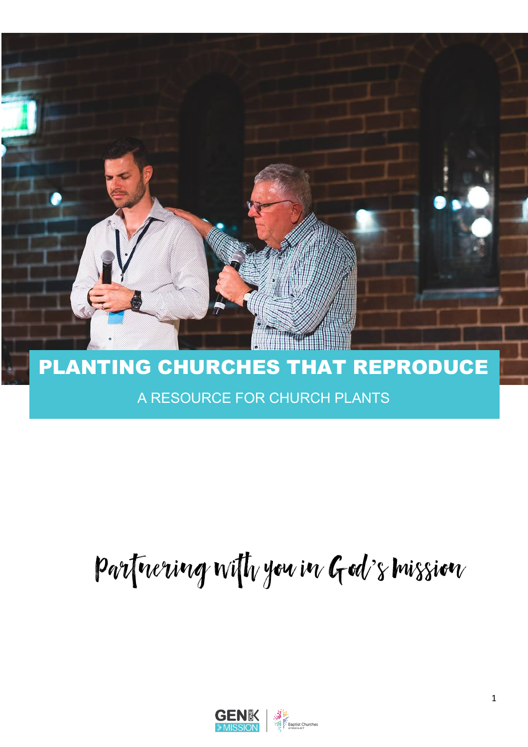

## PLANTING CHURCHES THAT REPRODUCE

## A RESOURCE FOR CHURCH PLANTS

# Partnering with you in God's mission

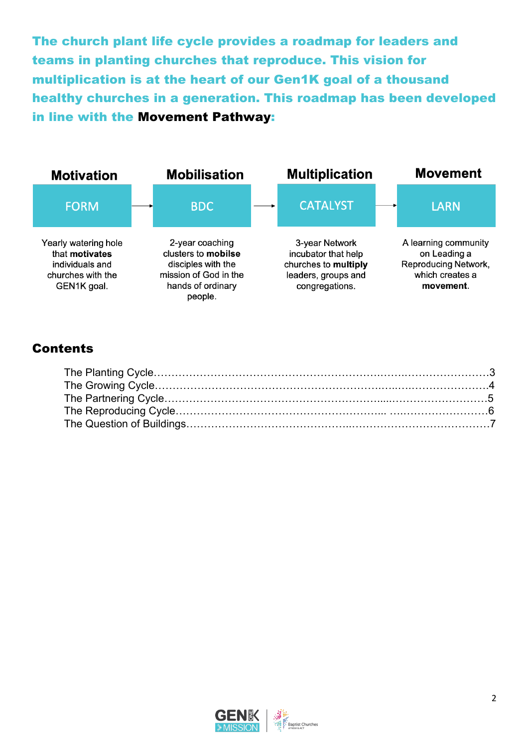The church plant life cycle provides a roadmap for leaders and teams in planting churches that reproduce. This vision for multiplication is at the heart of our Gen1K goal of a thousand healthy churches in a generation. This roadmap has been developed in line with the Movement Pathway:



## **Contents**

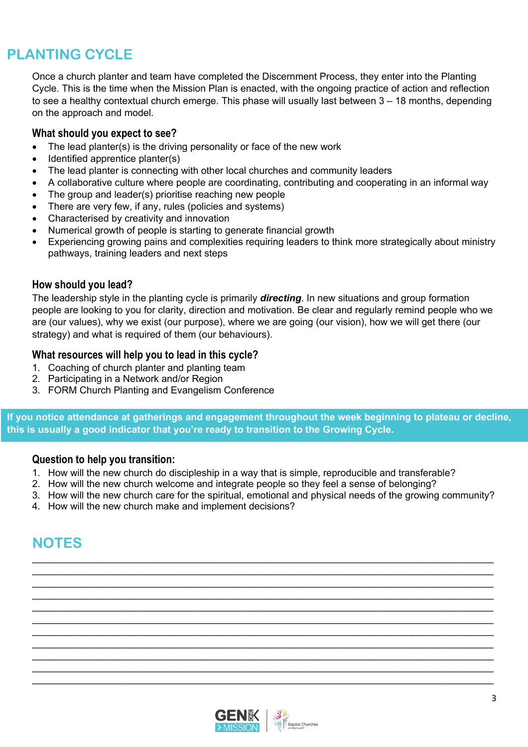## **PLANTING CYCLE**

Once a church planter and team have completed the Discernment Process, they enter into the Planting Cycle. This is the time when the Mission Plan is enacted, with the ongoing practice of action and reflection to see a healthy contextual church emerge. This phase will usually last between 3 – 18 months, depending on the approach and model.

## **What should you expect to see?**

- The lead planter(s) is the driving personality or face of the new work
- Identified apprentice planter(s)
- The lead planter is connecting with other local churches and community leaders
- A collaborative culture where people are coordinating, contributing and cooperating in an informal way
- The group and leader(s) prioritise reaching new people
- There are very few, if any, rules (policies and systems)
- Characterised by creativity and innovation
- Numerical growth of people is starting to generate financial growth
- Experiencing growing pains and complexities requiring leaders to think more strategically about ministry pathways, training leaders and next steps

## **How should you lead?**

The leadership style in the planting cycle is primarily *directing*. In new situations and group formation people are looking to you for clarity, direction and motivation. Be clear and regularly remind people who we are (our values), why we exist (our purpose), where we are going (our vision), how we will get there (our strategy) and what is required of them (our behaviours).

## **What resources will help you to lead in this cycle?**

- 1. Coaching of church planter and planting team
- 2. Participating in a Network and/or Region
- 3. FORM Church Planting and Evangelism Conference

**If you notice attendance at gatherings and engagement throughout the week beginning to plateau or decline, this is usually a good indicator that you're ready to transition to the Growing Cycle.**

## **Question to help you transition:**

- 1. How will the new church do discipleship in a way that is simple, reproducible and transferable?
- 2. How will the new church welcome and integrate people so they feel a sense of belonging?
- 3. How will the new church care for the spiritual, emotional and physical needs of the growing community?

 $\_$  $\_$ 

 $\_$  $\_$  $\_$ 

 $\_$  $\_$  $\_$  $\_$  , and the set of the set of the set of the set of the set of the set of the set of the set of the set of the set of the set of the set of the set of the set of the set of the set of the set of the set of the set of th

4. How will the new church make and implement decisions?

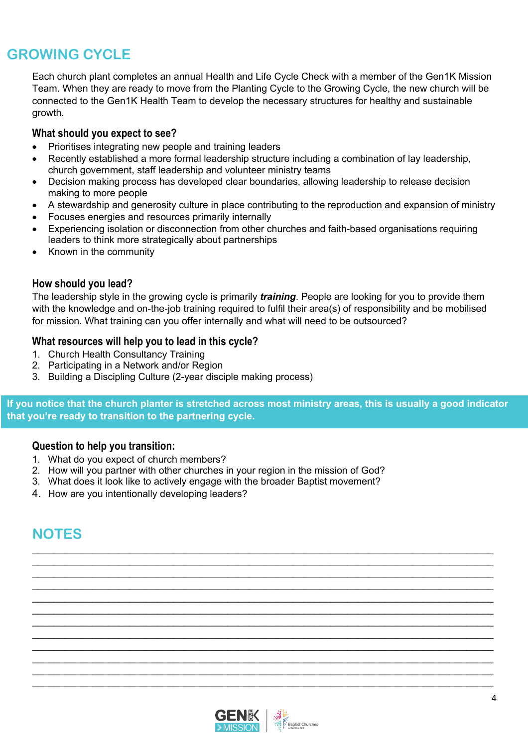## **GROWING CYCLE**

Each church plant completes an annual Health and Life Cycle Check with a member of the Gen1K Mission Team. When they are ready to move from the Planting Cycle to the Growing Cycle, the new church will be connected to the Gen1K Health Team to develop the necessary structures for healthy and sustainable growth.

## **What should you expect to see?**

- Prioritises integrating new people and training leaders
- Recently established a more formal leadership structure including a combination of lay leadership, church government, staff leadership and volunteer ministry teams
- Decision making process has developed clear boundaries, allowing leadership to release decision making to more people
- A stewardship and generosity culture in place contributing to the reproduction and expansion of ministry
- Focuses energies and resources primarily internally
- Experiencing isolation or disconnection from other churches and faith-based organisations requiring leaders to think more strategically about partnerships
- Known in the community

## **How should you lead?**

The leadership style in the growing cycle is primarily *training*. People are looking for you to provide them with the knowledge and on-the-job training required to fulfil their area(s) of responsibility and be mobilised for mission. What training can you offer internally and what will need to be outsourced?

## **What resources will help you to lead in this cycle?**

- 1. Church Health Consultancy Training
- 2. Participating in a Network and/or Region
- 3. Building a Discipling Culture (2-year disciple making process)

**If you notice that the church planter is stretched across most ministry areas, this is usually a good indicator that you're ready to transition to the partnering cycle.**

 $\_$ 

 $\_$  $\_$  $\_$  $\_$  $\_$  , and the set of the set of the set of the set of the set of the set of the set of the set of the set of the set of the set of the set of the set of the set of the set of the set of the set of the set of the set of th  $\_$  $\_$  , and the set of the set of the set of the set of the set of the set of the set of the set of the set of the set of the set of the set of the set of the set of the set of the set of the set of the set of the set of th  $\_$  $\_$ 

## **Question to help you transition:**

- 1. What do you expect of church members?
- 2. How will you partner with other churches in your region in the mission of God?
- 3. What does it look like to actively engage with the broader Baptist movement?
- 4. How are you intentionally developing leaders?

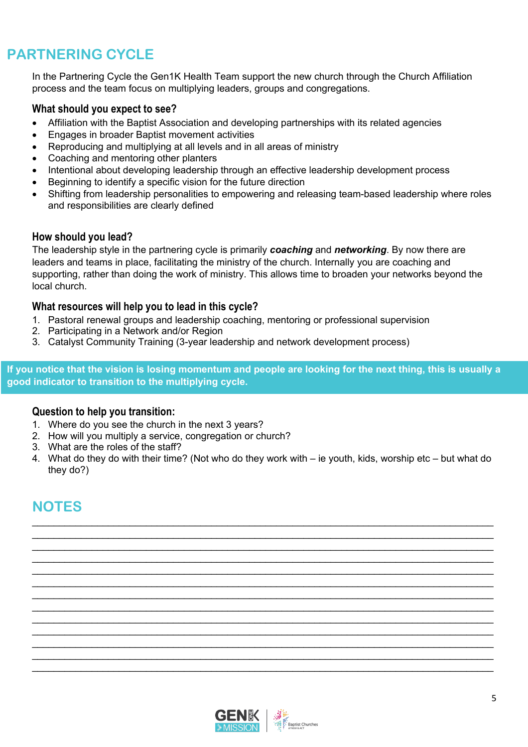## **PARTNERING CYCLE**

In the Partnering Cycle the Gen1K Health Team support the new church through the Church Affiliation process and the team focus on multiplying leaders, groups and congregations.

#### **What should you expect to see?**

- Affiliation with the Baptist Association and developing partnerships with its related agencies
- Engages in broader Baptist movement activities
- Reproducing and multiplying at all levels and in all areas of ministry
- Coaching and mentoring other planters
- Intentional about developing leadership through an effective leadership development process
- Beginning to identify a specific vision for the future direction
- Shifting from leadership personalities to empowering and releasing team-based leadership where roles and responsibilities are clearly defined

#### **How should you lead?**

The leadership style in the partnering cycle is primarily *coaching* and *networking*. By now there are leaders and teams in place, facilitating the ministry of the church. Internally you are coaching and supporting, rather than doing the work of ministry. This allows time to broaden your networks beyond the local church.

#### **What resources will help you to lead in this cycle?**

- 1. Pastoral renewal groups and leadership coaching, mentoring or professional supervision
- 2. Participating in a Network and/or Region
- 3. Catalyst Community Training (3-year leadership and network development process)

**If you notice that the vision is losing momentum and people are looking for the next thing, this is usually a good indicator to transition to the multiplying cycle.**

#### **Question to help you transition:**

- 1. Where do you see the church in the next 3 years?
- 2. How will you multiply a service, congregation or church?
- 3. What are the roles of the staff?
- 4. What do they do with their time? (Not who do they work with ie youth, kids, worship etc but what do they do?)

 $\_$  $\_$  $\_$  , and the set of the set of the set of the set of the set of the set of the set of the set of the set of the set of the set of the set of the set of the set of the set of the set of the set of the set of the set of th  $\_$  $\_$  , and the state of the state of the state of the state of the state of the state of the state of the state of the state of the state of the state of the state of the state of the state of the state of the state of the  $\_$  $\_$  $\_$ 

 $\_$  $\_$  $\_$  $\_$ 

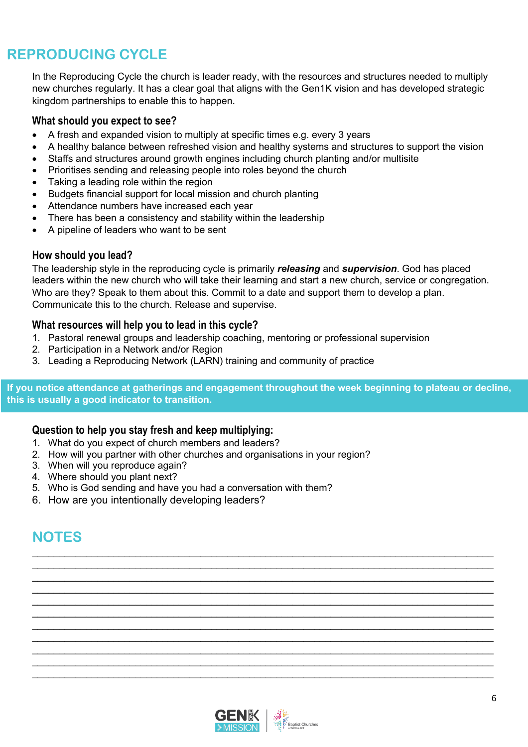## **REPRODUCING CYCLE**

In the Reproducing Cycle the church is leader ready, with the resources and structures needed to multiply new churches regularly. It has a clear goal that aligns with the Gen1K vision and has developed strategic kingdom partnerships to enable this to happen.

## **What should you expect to see?**

- A fresh and expanded vision to multiply at specific times e.g. every 3 years
- A healthy balance between refreshed vision and healthy systems and structures to support the vision
- Staffs and structures around growth engines including church planting and/or multisite
- Prioritises sending and releasing people into roles beyond the church
- Taking a leading role within the region
- Budgets financial support for local mission and church planting
- Attendance numbers have increased each year
- There has been a consistency and stability within the leadership
- A pipeline of leaders who want to be sent

## **How should you lead?**

The leadership style in the reproducing cycle is primarily *releasing* and *supervision*. God has placed leaders within the new church who will take their learning and start a new church, service or congregation. Who are they? Speak to them about this. Commit to a date and support them to develop a plan. Communicate this to the church. Release and supervise.

## **What resources will help you to lead in this cycle?**

- 1. Pastoral renewal groups and leadership coaching, mentoring or professional supervision
- 2. Participation in a Network and/or Region
- 3. Leading a Reproducing Network (LARN) training and community of practice

**If you notice attendance at gatherings and engagement throughout the week beginning to plateau or decline, this is usually a good indicator to transition.**

 $\_$  $\_$ 

 $\_$  $\_$  $\_$ 

 $\_$  $\_$  $\_$ 

## **Question to help you stay fresh and keep multiplying:**

- 1. What do you expect of church members and leaders?
- 2. How will you partner with other churches and organisations in your region?
- 3. When will you reproduce again?
- 4. Where should you plant next?
- 5. Who is God sending and have you had a conversation with them?
- 6. How are you intentionally developing leaders?